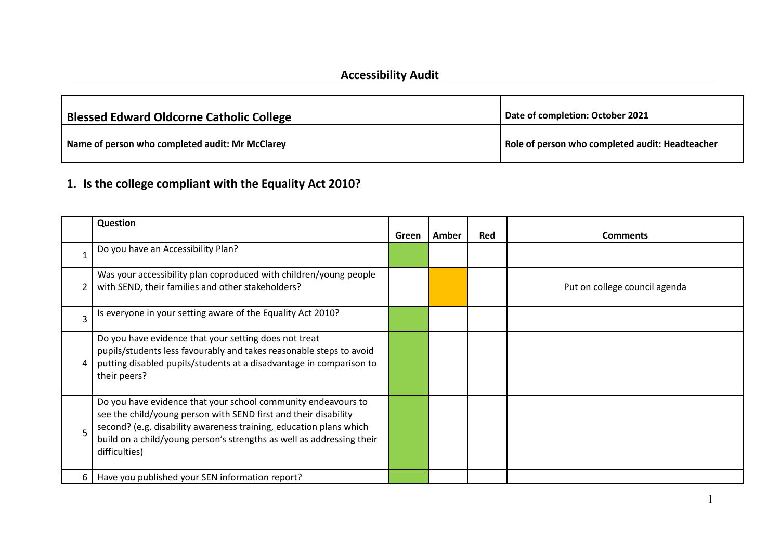#### **Accessibility Audit**

| <b>Blessed Edward Oldcorne Catholic College</b> | Date of completion: October 2021                |
|-------------------------------------------------|-------------------------------------------------|
| Name of person who completed audit: Mr McClarey | Role of person who completed audit: Headteacher |

## **1. Is the college compliant with the Equality Act 2010?**

|              | Question                                                                                                                                                                                                                                                                                         |       |       |            |                               |
|--------------|--------------------------------------------------------------------------------------------------------------------------------------------------------------------------------------------------------------------------------------------------------------------------------------------------|-------|-------|------------|-------------------------------|
|              |                                                                                                                                                                                                                                                                                                  | Green | Amber | <b>Red</b> | <b>Comments</b>               |
| $\mathbf{1}$ | Do you have an Accessibility Plan?                                                                                                                                                                                                                                                               |       |       |            |                               |
|              | Was your accessibility plan coproduced with children/young people<br>with SEND, their families and other stakeholders?                                                                                                                                                                           |       |       |            | Put on college council agenda |
| 3            | Is everyone in your setting aware of the Equality Act 2010?                                                                                                                                                                                                                                      |       |       |            |                               |
| 4            | Do you have evidence that your setting does not treat<br>pupils/students less favourably and takes reasonable steps to avoid<br>putting disabled pupils/students at a disadvantage in comparison to<br>their peers?                                                                              |       |       |            |                               |
| 5            | Do you have evidence that your school community endeavours to<br>see the child/young person with SEND first and their disability<br>second? (e.g. disability awareness training, education plans which<br>build on a child/young person's strengths as well as addressing their<br>difficulties) |       |       |            |                               |
| 6            | Have you published your SEN information report?                                                                                                                                                                                                                                                  |       |       |            |                               |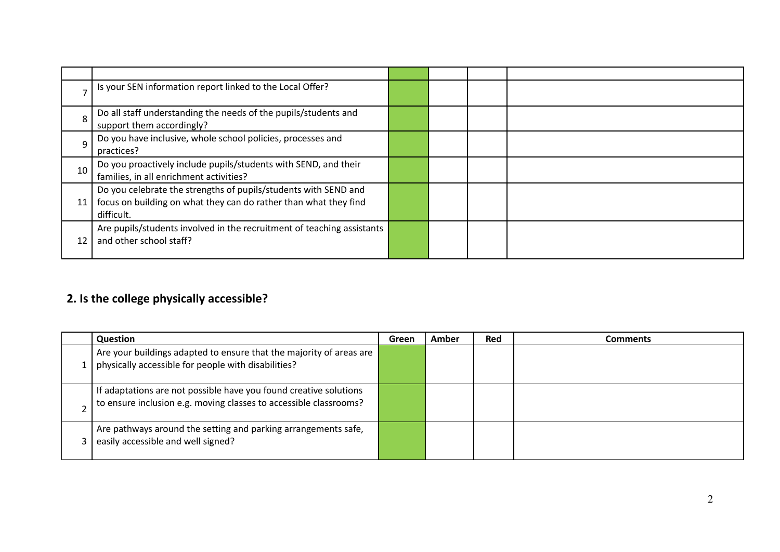|    | Is your SEN information report linked to the Local Offer?                                                                                         |  |  |
|----|---------------------------------------------------------------------------------------------------------------------------------------------------|--|--|
| 8  | Do all staff understanding the needs of the pupils/students and<br>support them accordingly?                                                      |  |  |
| 9  | Do you have inclusive, whole school policies, processes and<br>practices?                                                                         |  |  |
| 10 | Do you proactively include pupils/students with SEND, and their<br>families, in all enrichment activities?                                        |  |  |
| 11 | Do you celebrate the strengths of pupils/students with SEND and<br>focus on building on what they can do rather than what they find<br>difficult. |  |  |
| 12 | Are pupils/students involved in the recruitment of teaching assistants<br>and other school staff?                                                 |  |  |

## **2. Is the college physically accessible?**

| <b>Question</b>                                                                                                                        | Green | Amber | Red | Comments |
|----------------------------------------------------------------------------------------------------------------------------------------|-------|-------|-----|----------|
| Are your buildings adapted to ensure that the majority of areas are<br>physically accessible for people with disabilities?             |       |       |     |          |
| If adaptations are not possible have you found creative solutions<br>to ensure inclusion e.g. moving classes to accessible classrooms? |       |       |     |          |
| Are pathways around the setting and parking arrangements safe,<br>easily accessible and well signed?                                   |       |       |     |          |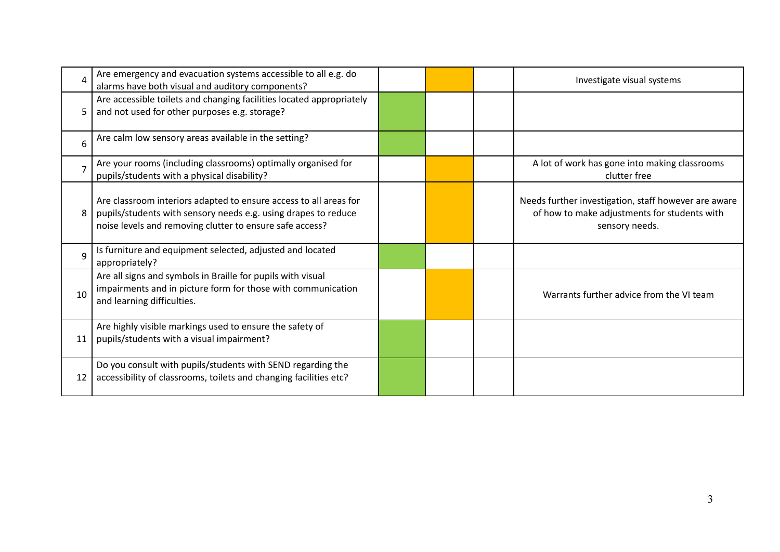| Δ              | Are emergency and evacuation systems accessible to all e.g. do<br>alarms have both visual and auditory components?                                                                              |  | Investigate visual systems                                                                                             |
|----------------|-------------------------------------------------------------------------------------------------------------------------------------------------------------------------------------------------|--|------------------------------------------------------------------------------------------------------------------------|
| 5              | Are accessible toilets and changing facilities located appropriately<br>and not used for other purposes e.g. storage?                                                                           |  |                                                                                                                        |
| 6              | Are calm low sensory areas available in the setting?                                                                                                                                            |  |                                                                                                                        |
| $\overline{7}$ | Are your rooms (including classrooms) optimally organised for<br>pupils/students with a physical disability?                                                                                    |  | A lot of work has gone into making classrooms<br>clutter free                                                          |
| 8              | Are classroom interiors adapted to ensure access to all areas for<br>pupils/students with sensory needs e.g. using drapes to reduce<br>noise levels and removing clutter to ensure safe access? |  | Needs further investigation, staff however are aware<br>of how to make adjustments for students with<br>sensory needs. |
| $\mathbf{q}$   | Is furniture and equipment selected, adjusted and located<br>appropriately?                                                                                                                     |  |                                                                                                                        |
| 10             | Are all signs and symbols in Braille for pupils with visual<br>impairments and in picture form for those with communication<br>and learning difficulties.                                       |  | Warrants further advice from the VI team                                                                               |
| 11             | Are highly visible markings used to ensure the safety of<br>pupils/students with a visual impairment?                                                                                           |  |                                                                                                                        |
| 12             | Do you consult with pupils/students with SEND regarding the<br>accessibility of classrooms, toilets and changing facilities etc?                                                                |  |                                                                                                                        |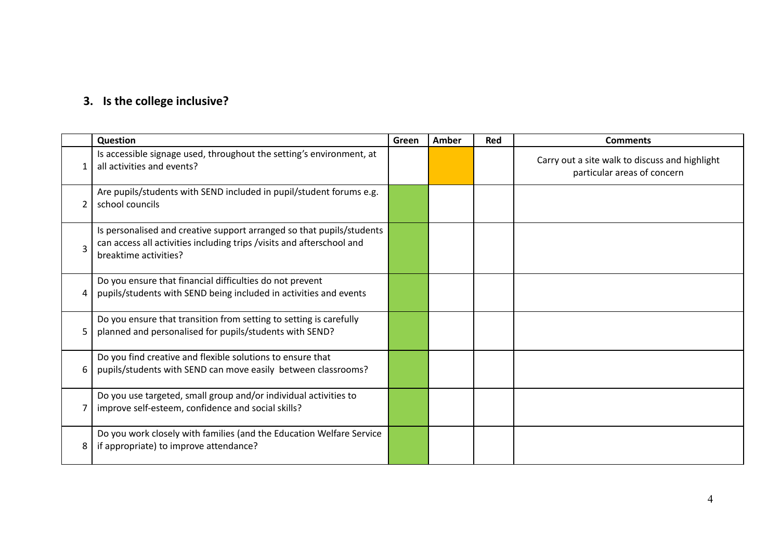## **3. Is the college inclusive?**

|                | Question                                                                                                                                                                | Green | Amber | <b>Red</b> | <b>Comments</b>                                                               |
|----------------|-------------------------------------------------------------------------------------------------------------------------------------------------------------------------|-------|-------|------------|-------------------------------------------------------------------------------|
| $\mathbf 1$    | Is accessible signage used, throughout the setting's environment, at<br>all activities and events?                                                                      |       |       |            | Carry out a site walk to discuss and highlight<br>particular areas of concern |
| $\overline{2}$ | Are pupils/students with SEND included in pupil/student forums e.g.<br>school councils                                                                                  |       |       |            |                                                                               |
| $\overline{3}$ | Is personalised and creative support arranged so that pupils/students<br>can access all activities including trips /visits and afterschool and<br>breaktime activities? |       |       |            |                                                                               |
| 4              | Do you ensure that financial difficulties do not prevent<br>pupils/students with SEND being included in activities and events                                           |       |       |            |                                                                               |
| 5              | Do you ensure that transition from setting to setting is carefully<br>planned and personalised for pupils/students with SEND?                                           |       |       |            |                                                                               |
| 6              | Do you find creative and flexible solutions to ensure that<br>pupils/students with SEND can move easily between classrooms?                                             |       |       |            |                                                                               |
|                | Do you use targeted, small group and/or individual activities to<br>improve self-esteem, confidence and social skills?                                                  |       |       |            |                                                                               |
| 8              | Do you work closely with families (and the Education Welfare Service<br>if appropriate) to improve attendance?                                                          |       |       |            |                                                                               |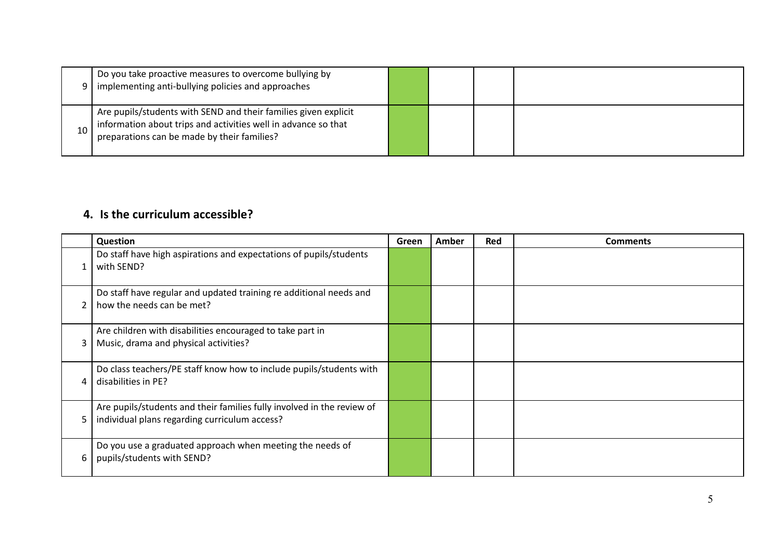|    | Do you take proactive measures to overcome bullying by<br>implementing anti-bullying policies and approaches                                                                     |  |  |
|----|----------------------------------------------------------------------------------------------------------------------------------------------------------------------------------|--|--|
| 10 | Are pupils/students with SEND and their families given explicit<br>information about trips and activities well in advance so that<br>preparations can be made by their families? |  |  |

#### **4. Is the curriculum accessible?**

|                | Question                                                                                                                | Green | Amber | Red | <b>Comments</b> |
|----------------|-------------------------------------------------------------------------------------------------------------------------|-------|-------|-----|-----------------|
|                | Do staff have high aspirations and expectations of pupils/students<br>with SEND?                                        |       |       |     |                 |
| $\overline{2}$ | Do staff have regular and updated training re additional needs and<br>how the needs can be met?                         |       |       |     |                 |
| 3              | Are children with disabilities encouraged to take part in<br>Music, drama and physical activities?                      |       |       |     |                 |
| 4              | Do class teachers/PE staff know how to include pupils/students with<br>disabilities in PE?                              |       |       |     |                 |
| 5              | Are pupils/students and their families fully involved in the review of<br>individual plans regarding curriculum access? |       |       |     |                 |
| 6              | Do you use a graduated approach when meeting the needs of<br>pupils/students with SEND?                                 |       |       |     |                 |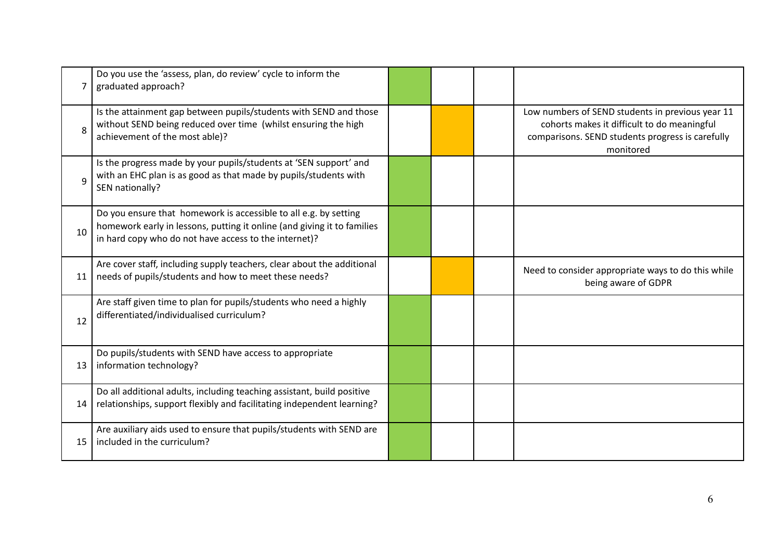| 7  | Do you use the 'assess, plan, do review' cycle to inform the<br>graduated approach?                                                                                                                  |  |                                                                                                                                                                  |
|----|------------------------------------------------------------------------------------------------------------------------------------------------------------------------------------------------------|--|------------------------------------------------------------------------------------------------------------------------------------------------------------------|
| 8  | Is the attainment gap between pupils/students with SEND and those<br>without SEND being reduced over time (whilst ensuring the high<br>achievement of the most able)?                                |  | Low numbers of SEND students in previous year 11<br>cohorts makes it difficult to do meaningful<br>comparisons. SEND students progress is carefully<br>monitored |
| 9  | Is the progress made by your pupils/students at 'SEN support' and<br>with an EHC plan is as good as that made by pupils/students with<br>SEN nationally?                                             |  |                                                                                                                                                                  |
| 10 | Do you ensure that homework is accessible to all e.g. by setting<br>homework early in lessons, putting it online (and giving it to families<br>in hard copy who do not have access to the internet)? |  |                                                                                                                                                                  |
| 11 | Are cover staff, including supply teachers, clear about the additional<br>needs of pupils/students and how to meet these needs?                                                                      |  | Need to consider appropriate ways to do this while<br>being aware of GDPR                                                                                        |
| 12 | Are staff given time to plan for pupils/students who need a highly<br>differentiated/individualised curriculum?                                                                                      |  |                                                                                                                                                                  |
| 13 | Do pupils/students with SEND have access to appropriate<br>information technology?                                                                                                                   |  |                                                                                                                                                                  |
| 14 | Do all additional adults, including teaching assistant, build positive<br>relationships, support flexibly and facilitating independent learning?                                                     |  |                                                                                                                                                                  |
| 15 | Are auxiliary aids used to ensure that pupils/students with SEND are<br>included in the curriculum?                                                                                                  |  |                                                                                                                                                                  |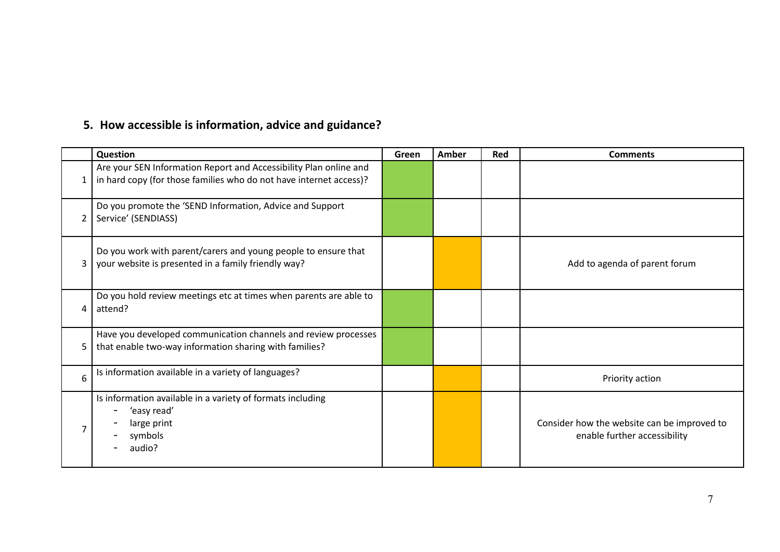# **5. How accessible is information, advice and guidance?**

|   | Question                                                                                                                                | Green | Amber | Red | <b>Comments</b>                                                             |
|---|-----------------------------------------------------------------------------------------------------------------------------------------|-------|-------|-----|-----------------------------------------------------------------------------|
| 1 | Are your SEN Information Report and Accessibility Plan online and<br>in hard copy (for those families who do not have internet access)? |       |       |     |                                                                             |
| 2 | Do you promote the 'SEND Information, Advice and Support<br>Service' (SENDIASS)                                                         |       |       |     |                                                                             |
| 3 | Do you work with parent/carers and young people to ensure that<br>your website is presented in a family friendly way?                   |       |       |     | Add to agenda of parent forum                                               |
| 4 | Do you hold review meetings etc at times when parents are able to<br>attend?                                                            |       |       |     |                                                                             |
| 5 | Have you developed communication channels and review processes<br>that enable two-way information sharing with families?                |       |       |     |                                                                             |
| 6 | Is information available in a variety of languages?                                                                                     |       |       |     | Priority action                                                             |
|   | Is information available in a variety of formats including<br>'easy read'<br>large print<br>symbols<br>audio?                           |       |       |     | Consider how the website can be improved to<br>enable further accessibility |